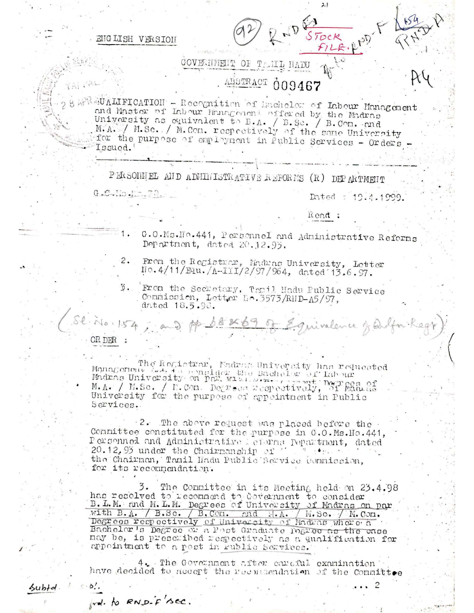ENGLISH VERSION

LAI PAL

GOVERNMENT OF TAMILL MADU ALISTRACT 009467

BARRENTILIFICATION - Recognition of Inchelor of Labour Management ond Master of Labour Management offered by the Madras University as equivalent to B.A. / B.Se. / B.Com. and M.A. / M.Sc. / M.Com. respectively of the same University for the purpose of employment in Public Services - Orders -Issued.

PERSONNEL AND ADMINISTRATIVE REFORMS (R) DEPARTMENT

 $0.0.10.12.70.$ 

Dated : 19.4.1999.

Read:

 $21$ 

- G.O.Ms. Ho. 441, Personnel and Administrative Reforms  $1.1$ Department, dated 20.12.93.
- From the Registrar, Madras University, Letter 2. No. 4/11/Equ. /A-III/2/97/964, dated 13.6.97.
- 3. From the Secretary, Tomil Hadu Public Service Commission, Letter No.3573/RND-A5/97, dated 18.5.98.

St. No. 154, and pp 68×69 of Equivalence of Orlfor Regy OR DER

 $\epsilon$  .  $\delta'$ .

rd. to RND-F sec.

 $5ubtd.$ 

The Registrar, Madram University has requested Management A.A. The medider the Bachelor of Labour Madas University on Par, with present Depression M.A. / M.Se. / I.Com. Depression Permit Depression of Habour M.A. / M.Se. / I.Com. Depression Permit Department in Public Services.

2. The above request was placed before the Committee constituted for the purpose in G.O.Ms.Ho.441, Personnel and Administrative Seterns Pepartment, dated 20.12.95 under the Chairman ship of  $\cdot$  $\mathcal{B} = \mathcal{A} \oplus \mathcal{A}$ the Chairman, Tamil Hadu Public Service Commission, for its recommendation.

The Committee in its Meeting held on 23.4.98 3. has resolved to recommend to deverment to consider B. L. M. and M. L. M. Degrees of University of Madras on par with B.A. / B.Sc. / B.Com. and H.A. / M.Sc. / M.Com. Degrees respectively of University of Madras where a Bachelor's Degree of a Post Graduate Degree as the case may be, is prescribed respectively as a qualification for appointment to a post in rublic Services.

4. The Government after careful examination have decided to accept the reconnendation of the Committee